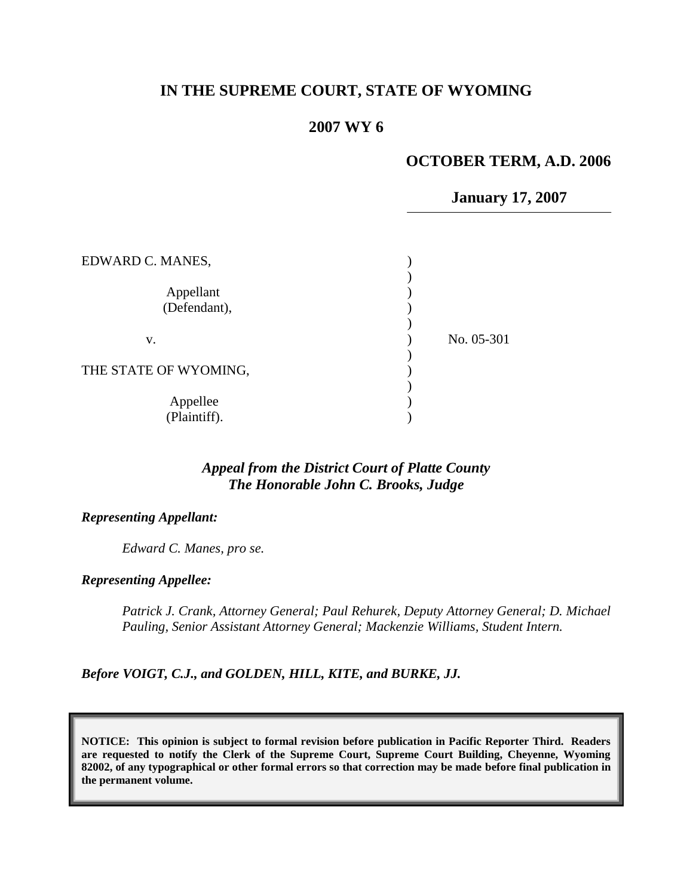# **IN THE SUPREME COURT, STATE OF WYOMING**

## **2007 WY 6**

#### **OCTOBER TERM, A.D. 2006**

**January 17, 2007**

| EDWARD C. MANES,          |            |
|---------------------------|------------|
| Appellant<br>(Defendant), |            |
| V.                        | No. 05-301 |
| THE STATE OF WYOMING,     |            |
| Appellee<br>(Plaintiff).  |            |

# *Appeal from the District Court of Platte County The Honorable John C. Brooks, Judge*

*Representing Appellant:*

*Edward C. Manes, pro se.*

*Representing Appellee:*

*Patrick J. Crank, Attorney General; Paul Rehurek, Deputy Attorney General; D. Michael Pauling, Senior Assistant Attorney General; Mackenzie Williams, Student Intern.*

*Before VOIGT, C.J., and GOLDEN, HILL, KITE, and BURKE, JJ.*

**NOTICE: This opinion is subject to formal revision before publication in Pacific Reporter Third. Readers are requested to notify the Clerk of the Supreme Court, Supreme Court Building, Cheyenne, Wyoming 82002, of any typographical or other formal errors so that correction may be made before final publication in the permanent volume.**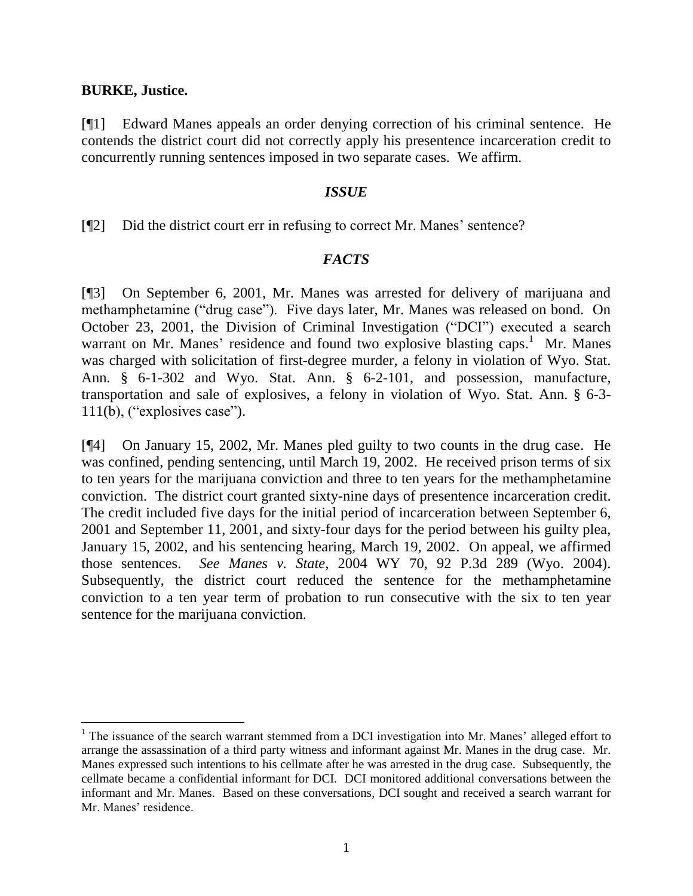#### **BURKE, Justice.**

 $\overline{a}$ 

[¶1] Edward Manes appeals an order denying correction of his criminal sentence. He contends the district court did not correctly apply his presentence incarceration credit to concurrently running sentences imposed in two separate cases. We affirm.

### *ISSUE*

[¶2] Did the district court err in refusing to correct Mr. Manes' sentence?

### *FACTS*

[¶3] On September 6, 2001, Mr. Manes was arrested for delivery of marijuana and methamphetamine ("drug case"). Five days later, Mr. Manes was released on bond. On October 23, 2001, the Division of Criminal Investigation ("DCI") executed a search warrant on Mr. Manes' residence and found two explosive blasting caps.<sup>1</sup> Mr. Manes was charged with solicitation of first-degree murder, a felony in violation of Wyo. Stat. Ann. § 6-1-302 and Wyo. Stat. Ann. § 6-2-101, and possession, manufacture, transportation and sale of explosives, a felony in violation of Wyo. Stat. Ann. § 6-3- 111(b), ("explosives case").

[¶4] On January 15, 2002, Mr. Manes pled guilty to two counts in the drug case. He was confined, pending sentencing, until March 19, 2002. He received prison terms of six to ten years for the marijuana conviction and three to ten years for the methamphetamine conviction. The district court granted sixty-nine days of presentence incarceration credit. The credit included five days for the initial period of incarceration between September 6, 2001 and September 11, 2001, and sixty-four days for the period between his guilty plea, January 15, 2002, and his sentencing hearing, March 19, 2002. On appeal, we affirmed those sentences. *See Manes v. State*, 2004 WY 70, 92 P.3d 289 (Wyo. 2004). Subsequently, the district court reduced the sentence for the methamphetamine conviction to a ten year term of probation to run consecutive with the six to ten year sentence for the marijuana conviction.

<sup>&</sup>lt;sup>1</sup> The issuance of the search warrant stemmed from a DCI investigation into Mr. Manes' alleged effort to arrange the assassination of a third party witness and informant against Mr. Manes in the drug case. Mr. Manes expressed such intentions to his cellmate after he was arrested in the drug case. Subsequently, the cellmate became a confidential informant for DCI. DCI monitored additional conversations between the informant and Mr. Manes. Based on these conversations, DCI sought and received a search warrant for Mr. Manes' residence.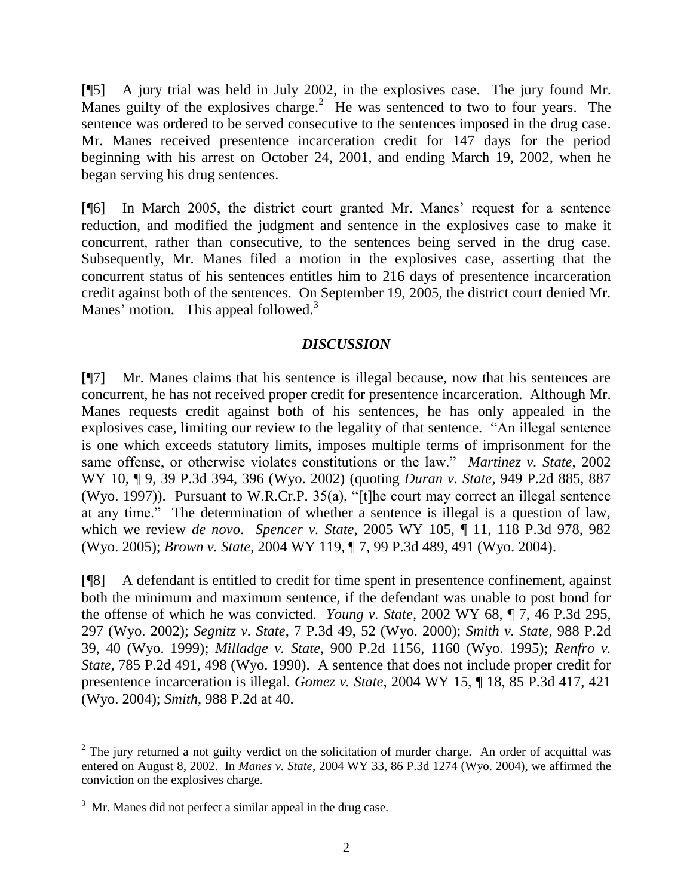[¶5] A jury trial was held in July 2002, in the explosives case. The jury found Mr. Manes guilty of the explosives charge.<sup>2</sup> He was sentenced to two to four years. The sentence was ordered to be served consecutive to the sentences imposed in the drug case. Mr. Manes received presentence incarceration credit for 147 days for the period beginning with his arrest on October 24, 2001, and ending March 19, 2002, when he began serving his drug sentences.

[¶6] In March 2005, the district court granted Mr. Manes' request for a sentence reduction, and modified the judgment and sentence in the explosives case to make it concurrent, rather than consecutive, to the sentences being served in the drug case. Subsequently, Mr. Manes filed a motion in the explosives case, asserting that the concurrent status of his sentences entitles him to 216 days of presentence incarceration credit against both of the sentences. On September 19, 2005, the district court denied Mr. Manes' motion. This appeal followed.<sup>3</sup>

## *DISCUSSION*

[¶7] Mr. Manes claims that his sentence is illegal because, now that his sentences are concurrent, he has not received proper credit for presentence incarceration. Although Mr. Manes requests credit against both of his sentences, he has only appealed in the explosives case, limiting our review to the legality of that sentence. "An illegal sentence is one which exceeds statutory limits, imposes multiple terms of imprisonment for the same offense, or otherwise violates constitutions or the law." *Martinez v. State*, 2002 WY 10, ¶ 9, 39 P.3d 394, 396 (Wyo. 2002) (quoting *Duran v. State*, 949 P.2d 885, 887 (Wyo. 1997)). Pursuant to W.R.Cr.P. 35(a), "[t]he court may correct an illegal sentence at any time." The determination of whether a sentence is illegal is a question of law, which we review *de novo*. *Spencer v. State*, 2005 WY 105, ¶ 11, 118 P.3d 978, 982 (Wyo. 2005); *Brown v. State*, 2004 WY 119, ¶ 7, 99 P.3d 489, 491 (Wyo. 2004).

[¶8] A defendant is entitled to credit for time spent in presentence confinement, against both the minimum and maximum sentence, if the defendant was unable to post bond for the offense of which he was convicted. *Young v. State*, 2002 WY 68, ¶ 7, 46 P.3d 295, 297 (Wyo. 2002); *Segnitz v. State*, 7 P.3d 49, 52 (Wyo. 2000); *Smith v. State*, 988 P.2d 39, 40 (Wyo. 1999); *Milladge v. State*, 900 P.2d 1156, 1160 (Wyo. 1995); *Renfro v. State*, 785 P.2d 491, 498 (Wyo. 1990). A sentence that does not include proper credit for presentence incarceration is illegal. *Gomez v. State*, 2004 WY 15, ¶ 18, 85 P.3d 417, 421 (Wyo. 2004); *Smith*, 988 P.2d at 40.

 $\overline{a}$ 

 $2$  The jury returned a not guilty verdict on the solicitation of murder charge. An order of acquittal was entered on August 8, 2002. In *Manes v. State*, 2004 WY 33, 86 P.3d 1274 (Wyo. 2004), we affirmed the conviction on the explosives charge.

 $3 \text{ Mr.}\$  Manes did not perfect a similar appeal in the drug case.